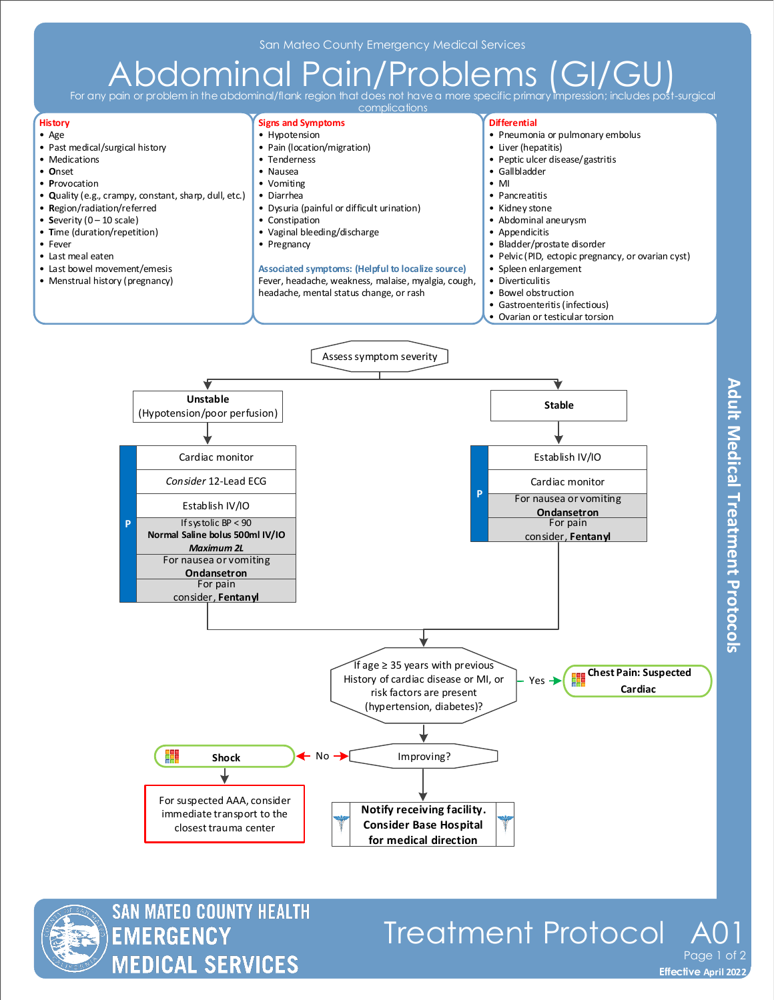## $A\overline{\mathrm{bdom}}$  in  $\overline{\mathrm{cd}}$   $\overline{\mathrm{cd}}$   $\overline{\mathrm{rel}}$   $\overline{\mathrm{pol}}$   $\overline{\mathrm{pro}}$   $\overline{\mathrm{pro}}$   $\overline{\mathrm{pol}}$   $\overline{\mathrm{pol}}$   $\overline{\mathrm{pol}}$   $\overline{\mathrm{pol}}$   $\overline{\mathrm{pol}}$   $\overline{\mathrm{pol}}$   $\overline{\mathrm{pol}}$   $\overline{\mathrm{pol}}$   $\overline{\mathrm{pol}}$   $\overline{\mathrm{pol}}$   $\overline{\mathrm{pol}}$   $\overline{\mathrm{pol}}$   $\overline{\mathrm{$

For any pain or problem





## Treatment Protocol Page 1 of 2

**Effective November 2018 Effective April 2022**

**Adult Medical Treatment Protocols**